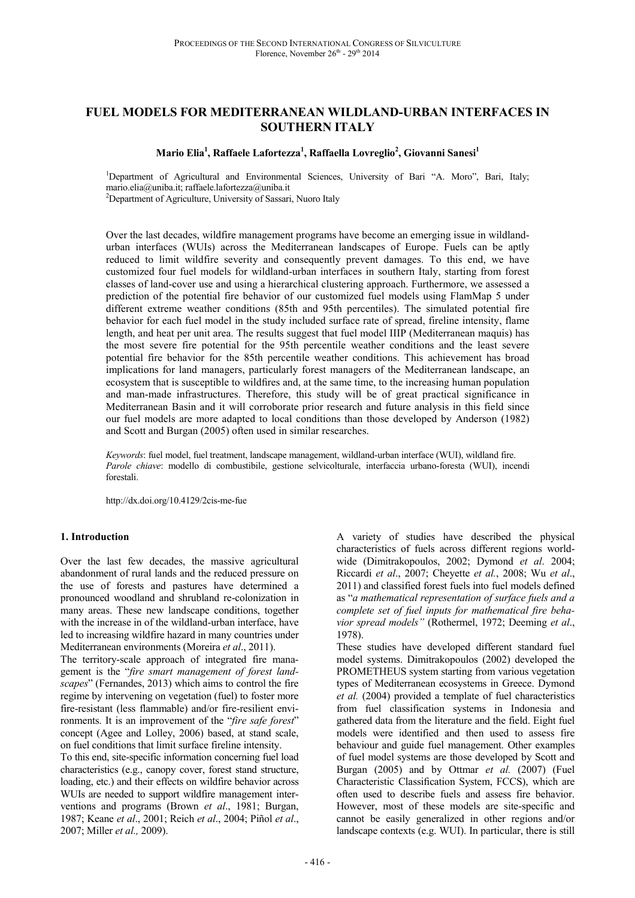# **FUEL MODELS FOR MEDITERRANEAN WILDLAND-URBAN INTERFACES IN SOUTHERN ITALY**

#### **Mario Elia<sup>1</sup> , Raffaele Lafortezza<sup>1</sup> , Raffaella Lovreglio<sup>2</sup> , Giovanni Sanesi<sup>1</sup>**

<sup>1</sup>Department of Agricultural and Environmental Sciences, University of Bari "A. Moro", Bari, Italy; mario.elia@uniba.it; raffaele.lafortezza@uniba.it

<sup>2</sup>Department of Agriculture, University of Sassari, Nuoro Italy

Over the last decades, wildfire management programs have become an emerging issue in wildlandurban interfaces (WUIs) across the Mediterranean landscapes of Europe. Fuels can be aptly reduced to limit wildfire severity and consequently prevent damages. To this end, we have customized four fuel models for wildland-urban interfaces in southern Italy, starting from forest classes of land-cover use and using a hierarchical clustering approach. Furthermore, we assessed a prediction of the potential fire behavior of our customized fuel models using FlamMap 5 under different extreme weather conditions (85th and 95th percentiles). The simulated potential fire behavior for each fuel model in the study included surface rate of spread, fireline intensity, flame length, and heat per unit area. The results suggest that fuel model IIIP (Mediterranean maquis) has the most severe fire potential for the 95th percentile weather conditions and the least severe potential fire behavior for the 85th percentile weather conditions. This achievement has broad implications for land managers, particularly forest managers of the Mediterranean landscape, an ecosystem that is susceptible to wildfires and, at the same time, to the increasing human population and man-made infrastructures. Therefore, this study will be of great practical significance in Mediterranean Basin and it will corroborate prior research and future analysis in this field since our fuel models are more adapted to local conditions than those developed by Anderson (1982) and Scott and Burgan (2005) often used in similar researches.

*Keywords*: fuel model, fuel treatment, landscape management, wildland-urban interface (WUI), wildland fire. *Parole chiave*: modello di combustibile, gestione selvicolturale, interfaccia urbano-foresta (WUI), incendi forestali.

http://dx.doi.org/10.4129/2cis-me-fue

#### **1. Introduction**

Over the last few decades, the massive agricultural abandonment of rural lands and the reduced pressure on the use of forests and pastures have determined a pronounced woodland and shrubland re-colonization in many areas. These new landscape conditions, together with the increase in of the wildland-urban interface, have led to increasing wildfire hazard in many countries under Mediterranean environments (Moreira *et al*., 2011).

The territory-scale approach of integrated fire management is the "*fire smart management of forest landscapes*" (Fernandes, 2013) which aims to control the fire regime by intervening on vegetation (fuel) to foster more fire-resistant (less flammable) and/or fire-resilient environments. It is an improvement of the "*fire safe forest*" concept (Agee and Lolley, 2006) based, at stand scale, on fuel conditions that limit surface fireline intensity.

To this end, site-specific information concerning fuel load characteristics (e.g., canopy cover, forest stand structure, loading, etc.) and their effects on wildfire behavior across WUIs are needed to support wildfire management interventions and programs (Brown *et al*., 1981; Burgan, 1987; Keane *et al*., 2001; Reich *et al*., 2004; Piñol *et al*., 2007; Miller *et al.,* 2009).

A variety of studies have described the physical characteristics of fuels across different regions worldwide (Dimitrakopoulos, 2002; Dymond *et al*. 2004; Riccardi *et al*., 2007; Cheyette *et al.*, 2008; Wu *et al*., 2011) and classified forest fuels into fuel models defined as "*a mathematical representation of surface fuels and a complete set of fuel inputs for mathematical fire behavior spread models"* (Rothermel, 1972; Deeming *et al*., 1978).

These studies have developed different standard fuel model systems. Dimitrakopoulos (2002) developed the PROMETHEUS system starting from various vegetation types of Mediterranean ecosystems in Greece. Dymond *et al.* (2004) provided a template of fuel characteristics from fuel classification systems in Indonesia and gathered data from the literature and the field. Eight fuel models were identified and then used to assess fire behaviour and guide fuel management. Other examples of fuel model systems are those developed by Scott and Burgan (2005) and by Ottmar *et al.* (2007) (Fuel Characteristic Classification System, FCCS), which are often used to describe fuels and assess fire behavior. However, most of these models are site-specific and cannot be easily generalized in other regions and/or landscape contexts (e.g. WUI). In particular, there is still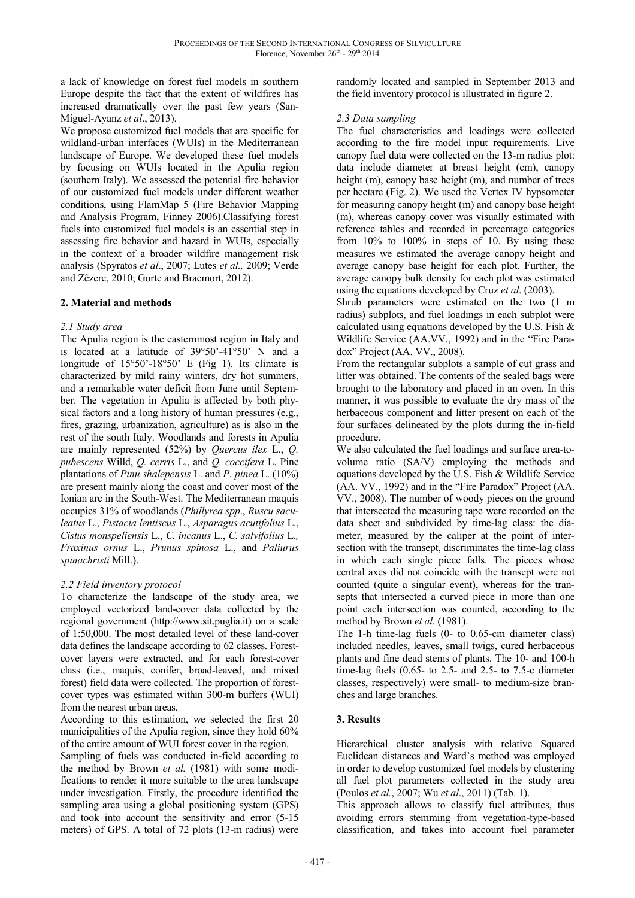a lack of knowledge on forest fuel models in southern Europe despite the fact that the extent of wildfires has increased dramatically over the past few years (San-Miguel-Ayanz *et al*., 2013).

We propose customized fuel models that are specific for wildland-urban interfaces (WUIs) in the Mediterranean landscape of Europe. We developed these fuel models by focusing on WUIs located in the Apulia region (southern Italy). We assessed the potential fire behavior of our customized fuel models under different weather conditions, using FlamMap 5 (Fire Behavior Mapping and Analysis Program, Finney 2006).Classifying forest fuels into customized fuel models is an essential step in assessing fire behavior and hazard in WUIs, especially in the context of a broader wildfire management risk analysis (Spyratos *et al*., 2007; Lutes *et al.,* 2009; Verde and Zêzere, 2010; Gorte and Bracmort, 2012).

# **2. Material and methods**

#### *2.1 Study area*

The Apulia region is the easternmost region in Italy and is located at a latitude of 39°50'-41°50' N and a longitude of 15°50'-18°50' E (Fig 1). Its climate is characterized by mild rainy winters, dry hot summers, and a remarkable water deficit from June until September. The vegetation in Apulia is affected by both physical factors and a long history of human pressures (e.g., fires, grazing, urbanization, agriculture) as is also in the rest of the south Italy. Woodlands and forests in Apulia are mainly represented (52%) by *Quercus ilex* L., *Q. pubescens* Willd, *Q. cerris* L., and *Q. coccifera* L. Pine plantations of *Pinu shalepensis* L. and *P. pinea* L. (10%) are present mainly along the coast and cover most of the Ionian arc in the South-West. The Mediterranean maquis occupies 31% of woodlands (*Phillyrea spp*., *Ruscu saculeatus* L*.*, *Pistacia lentiscus* L., *Asparagus acutifolius* L*.*, *Cistus monspeliensis* L., *C. incanus* L., *C. salvifolius* L*., Fraxinus ornus* L., *Prunus spinosa* L., and *Paliurus spinachristi* Mill.).

# *2.2 Field inventory protocol*

To characterize the landscape of the study area, we employed vectorized land-cover data collected by the regional government (http://www.sit.puglia.it) on a scale of 1:50,000. The most detailed level of these land-cover data defines the landscape according to 62 classes. Forestcover layers were extracted, and for each forest-cover class (i.e., maquis, conifer, broad-leaved, and mixed forest) field data were collected. The proportion of forestcover types was estimated within 300-m buffers (WUI) from the nearest urban areas.

According to this estimation, we selected the first 20 municipalities of the Apulia region, since they hold 60% of the entire amount of WUI forest cover in the region.

Sampling of fuels was conducted in-field according to the method by Brown *et al.* (1981) with some modifications to render it more suitable to the area landscape under investigation. Firstly, the procedure identified the sampling area using a global positioning system (GPS) and took into account the sensitivity and error (5-15 meters) of GPS. A total of 72 plots (13-m radius) were randomly located and sampled in September 2013 and the field inventory protocol is illustrated in figure 2.

### *2.3 Data sampling*

The fuel characteristics and loadings were collected according to the fire model input requirements. Live canopy fuel data were collected on the 13-m radius plot: data include diameter at breast height (cm), canopy height (m), canopy base height (m), and number of trees per hectare (Fig. 2). We used the Vertex IV hypsometer for measuring canopy height (m) and canopy base height (m), whereas canopy cover was visually estimated with reference tables and recorded in percentage categories from 10% to 100% in steps of 10. By using these measures we estimated the average canopy height and average canopy base height for each plot. Further, the average canopy bulk density for each plot was estimated using the equations developed by Cruz *et al*. (2003).

Shrub parameters were estimated on the two (1 m radius) subplots, and fuel loadings in each subplot were calculated using equations developed by the U.S. Fish & Wildlife Service (AA.VV., 1992) and in the "Fire Paradox" Project (AA. VV., 2008).

From the rectangular subplots a sample of cut grass and litter was obtained. The contents of the sealed bags were brought to the laboratory and placed in an oven. In this manner, it was possible to evaluate the dry mass of the herbaceous component and litter present on each of the four surfaces delineated by the plots during the in-field procedure.

We also calculated the fuel loadings and surface area-tovolume ratio (SA/V) employing the methods and equations developed by the U.S. Fish & Wildlife Service (AA. VV., 1992) and in the "Fire Paradox" Project (AA. VV., 2008). The number of woody pieces on the ground that intersected the measuring tape were recorded on the data sheet and subdivided by time-lag class: the diameter, measured by the caliper at the point of intersection with the transept, discriminates the time-lag class in which each single piece falls. The pieces whose central axes did not coincide with the transept were not counted (quite a singular event), whereas for the transepts that intersected a curved piece in more than one point each intersection was counted, according to the method by Brown *et al.* (1981).

The 1-h time-lag fuels (0- to 0.65-cm diameter class) included needles, leaves, small twigs, cured herbaceous plants and fine dead stems of plants. The 10- and 100-h time-lag fuels (0.65- to 2.5- and 2.5- to 7.5-c diameter classes, respectively) were small- to medium-size branches and large branches.

# **3. Results**

Hierarchical cluster analysis with relative Squared Euclidean distances and Ward's method was employed in order to develop customized fuel models by clustering all fuel plot parameters collected in the study area (Poulos *et al.*, 2007; Wu *et al*., 2011) (Tab. 1).

This approach allows to classify fuel attributes, thus avoiding errors stemming from vegetation-type-based classification, and takes into account fuel parameter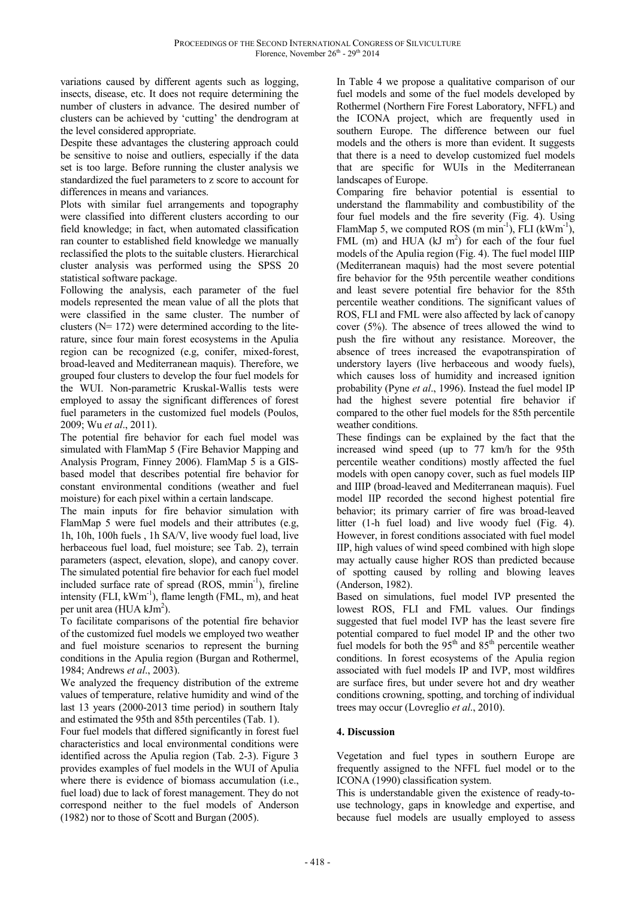variations caused by different agents such as logging, insects, disease, etc. It does not require determining the number of clusters in advance. The desired number of clusters can be achieved by 'cutting' the dendrogram at the level considered appropriate.

Despite these advantages the clustering approach could be sensitive to noise and outliers, especially if the data set is too large. Before running the cluster analysis we standardized the fuel parameters to z score to account for differences in means and variances.

Plots with similar fuel arrangements and topography were classified into different clusters according to our field knowledge; in fact, when automated classification ran counter to established field knowledge we manually reclassified the plots to the suitable clusters. Hierarchical cluster analysis was performed using the SPSS 20 statistical software package.

Following the analysis, each parameter of the fuel models represented the mean value of all the plots that were classified in the same cluster. The number of clusters ( $N= 172$ ) were determined according to the literature, since four main forest ecosystems in the Apulia region can be recognized (e.g, conifer, mixed-forest, broad-leaved and Mediterranean maquis). Therefore, we grouped four clusters to develop the four fuel models for the WUI. Non-parametric Kruskal-Wallis tests were employed to assay the significant differences of forest fuel parameters in the customized fuel models (Poulos, 2009; Wu *et al*., 2011).

The potential fire behavior for each fuel model was simulated with FlamMap 5 (Fire Behavior Mapping and Analysis Program, Finney 2006). FlamMap 5 is a GISbased model that describes potential fire behavior for constant environmental conditions (weather and fuel moisture) for each pixel within a certain landscape.

The main inputs for fire behavior simulation with FlamMap 5 were fuel models and their attributes (e.g, 1h, 10h, 100h fuels , 1h SA/V, live woody fuel load, live herbaceous fuel load, fuel moisture; see Tab. 2), terrain parameters (aspect, elevation, slope), and canopy cover. The simulated potential fire behavior for each fuel model included surface rate of spread (ROS, mmin<sup>-1</sup>), fireline intensity (FLI,  $kWm^{-1}$ ), flame length (FML, m), and heat per unit area (HUA  $\text{klm}^2$ ).

To facilitate comparisons of the potential fire behavior of the customized fuel models we employed two weather and fuel moisture scenarios to represent the burning conditions in the Apulia region (Burgan and Rothermel, 1984; Andrews *et al*., 2003).

We analyzed the frequency distribution of the extreme values of temperature, relative humidity and wind of the last 13 years (2000-2013 time period) in southern Italy and estimated the 95th and 85th percentiles (Tab. 1).

Four fuel models that differed significantly in forest fuel characteristics and local environmental conditions were identified across the Apulia region (Tab. 2-3). Figure 3 provides examples of fuel models in the WUI of Apulia where there is evidence of biomass accumulation (i.e., fuel load) due to lack of forest management. They do not correspond neither to the fuel models of Anderson (1982) nor to those of Scott and Burgan (2005).

In Table 4 we propose a qualitative comparison of our fuel models and some of the fuel models developed by Rothermel (Northern Fire Forest Laboratory, NFFL) and the ICONA project, which are frequently used in southern Europe. The difference between our fuel models and the others is more than evident. It suggests that there is a need to develop customized fuel models that are specific for WUIs in the Mediterranean landscapes of Europe.

Comparing fire behavior potential is essential to understand the flammability and combustibility of the four fuel models and the fire severity (Fig. 4). Using FlamMap 5, we computed ROS  $(m \min^{-1})$ , FLI  $(kWm^{-1})$ , FML  $(m)$  and HUA  $(kJ \, m^2)$  for each of the four fuel models of the Apulia region (Fig. 4). The fuel model IIIP (Mediterranean maquis) had the most severe potential fire behavior for the 95th percentile weather conditions and least severe potential fire behavior for the 85th percentile weather conditions. The significant values of ROS, FLI and FML were also affected by lack of canopy cover (5%). The absence of trees allowed the wind to push the fire without any resistance. Moreover, the absence of trees increased the evapotranspiration of understory layers (live herbaceous and woody fuels), which causes loss of humidity and increased ignition probability (Pyne *et al*., 1996). Instead the fuel model IP had the highest severe potential fire behavior if compared to the other fuel models for the 85th percentile weather conditions.

These findings can be explained by the fact that the increased wind speed (up to 77 km/h for the 95th percentile weather conditions) mostly affected the fuel models with open canopy cover, such as fuel models IIP and IIIP (broad-leaved and Mediterranean maquis). Fuel model IIP recorded the second highest potential fire behavior; its primary carrier of fire was broad-leaved litter (1-h fuel load) and live woody fuel (Fig. 4). However, in forest conditions associated with fuel model IIP, high values of wind speed combined with high slope may actually cause higher ROS than predicted because of spotting caused by rolling and blowing leaves (Anderson, 1982).

Based on simulations, fuel model IVP presented the lowest ROS, FLI and FML values. Our findings suggested that fuel model IVP has the least severe fire potential compared to fuel model IP and the other two fuel models for both the  $95<sup>th</sup>$  and  $85<sup>th</sup>$  percentile weather conditions. In forest ecosystems of the Apulia region associated with fuel models IP and IVP, most wildfires are surface fires, but under severe hot and dry weather conditions crowning, spotting, and torching of individual trees may occur (Lovreglio *et al*., 2010).

# **4. Discussion**

Vegetation and fuel types in southern Europe are frequently assigned to the NFFL fuel model or to the ICONA (1990) classification system.

This is understandable given the existence of ready-touse technology, gaps in knowledge and expertise, and because fuel models are usually employed to assess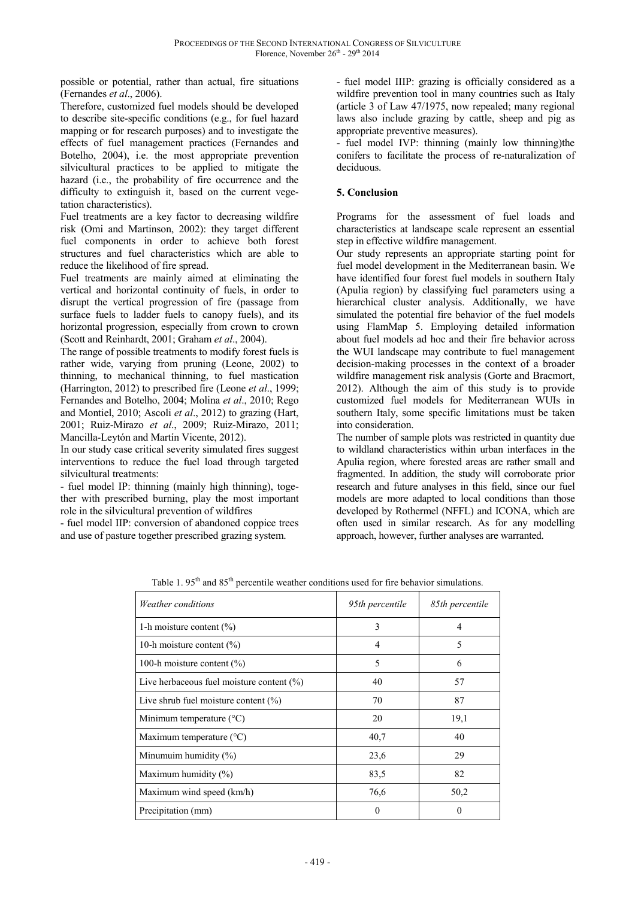possible or potential, rather than actual, fire situations (Fernandes *et al*., 2006).

Therefore, customized fuel models should be developed to describe site-specific conditions (e.g., for fuel hazard mapping or for research purposes) and to investigate the effects of fuel management practices (Fernandes and Botelho, 2004), i.e. the most appropriate prevention silvicultural practices to be applied to mitigate the hazard (i.e., the probability of fire occurrence and the difficulty to extinguish it, based on the current vegetation characteristics).

Fuel treatments are a key factor to decreasing wildfire risk (Omi and Martinson, 2002): they target different fuel components in order to achieve both forest structures and fuel characteristics which are able to reduce the likelihood of fire spread.

Fuel treatments are mainly aimed at eliminating the vertical and horizontal continuity of fuels, in order to disrupt the vertical progression of fire (passage from surface fuels to ladder fuels to canopy fuels), and its horizontal progression, especially from crown to crown (Scott and Reinhardt, 2001; Graham *et al*., 2004).

The range of possible treatments to modify forest fuels is rather wide, varying from pruning (Leone, 2002) to thinning, to mechanical thinning, to fuel mastication (Harrington, 2012) to prescribed fire (Leone *et al*., 1999; Fernandes and Botelho, 2004; Molina *et al*., 2010; Rego and Montiel, 2010; Ascoli *et al*., 2012) to grazing (Hart, 2001; Ruiz-Mirazo *et al*., 2009; Ruiz-Mirazo, 2011; Mancilla-Leytón and Martín Vicente, 2012).

In our study case critical severity simulated fires suggest interventions to reduce the fuel load through targeted silvicultural treatments:

- fuel model IP: thinning (mainly high thinning), together with prescribed burning, play the most important role in the silvicultural prevention of wildfires

- fuel model IIP: conversion of abandoned coppice trees and use of pasture together prescribed grazing system.

- fuel model IIIP: grazing is officially considered as a wildfire prevention tool in many countries such as Italy (article 3 of Law 47/1975, now repealed; many regional laws also include grazing by cattle, sheep and pig as appropriate preventive measures).

- fuel model IVP: thinning (mainly low thinning)the conifers to facilitate the process of re-naturalization of deciduous.

# **5. Conclusion**

Programs for the assessment of fuel loads and characteristics at landscape scale represent an essential step in effective wildfire management.

Our study represents an appropriate starting point for fuel model development in the Mediterranean basin. We have identified four forest fuel models in southern Italy (Apulia region) by classifying fuel parameters using a hierarchical cluster analysis. Additionally, we have simulated the potential fire behavior of the fuel models using FlamMap 5. Employing detailed information about fuel models ad hoc and their fire behavior across the WUI landscape may contribute to fuel management decision-making processes in the context of a broader wildfire management risk analysis (Gorte and Bracmort, 2012). Although the aim of this study is to provide customized fuel models for Mediterranean WUIs in southern Italy, some specific limitations must be taken into consideration.

The number of sample plots was restricted in quantity due to wildland characteristics within urban interfaces in the Apulia region, where forested areas are rather small and fragmented. In addition, the study will corroborate prior research and future analyses in this field, since our fuel models are more adapted to local conditions than those developed by Rothermel (NFFL) and ICONA, which are often used in similar research. As for any modelling approach, however, further analyses are warranted.

| <i>Weather conditions</i>                    | 95th percentile | 85th percentile |  |  |
|----------------------------------------------|-----------------|-----------------|--|--|
| 1-h moisture content $(\%)$                  | 3               | 4               |  |  |
| 10-h moisture content $(\% )$                | 4               | 5               |  |  |
| 100-h moisture content $(\% )$               | 5               | 6               |  |  |
| Live herbaceous fuel moisture content $(\%)$ | 40              | 57              |  |  |
| Live shrub fuel moisture content $(\%)$      | 70              | 87              |  |  |
| Minimum temperature $({}^{\circ}C)$          | 20              | 19,1            |  |  |
| Maximum temperature (°C)                     | 40,7            | 40              |  |  |
| Minumuim humidity $(\%)$                     | 23,6            | 29              |  |  |
| Maximum humidity (%)                         | 83,5            | 82              |  |  |
| Maximum wind speed (km/h)                    | 76,6            | 50,2            |  |  |
| Precipitation (mm)                           | 0               | 0               |  |  |

Table 1. 95<sup>th</sup> and 85<sup>th</sup> percentile weather conditions used for fire behavior simulations.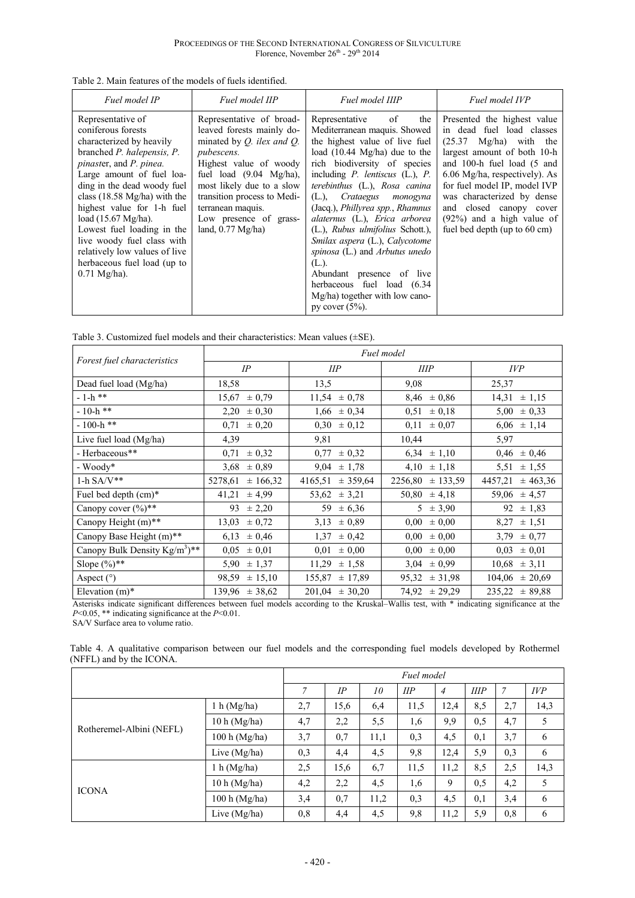| Fuel model IP                                                                                                                                                                                                                                                                                                                                                                                                                                                            | Fuel model IIP                                                                                                                                                                                                                                                                                                         | Fuel model IIIP                                                                                                                                                                                                                                                                                                                                                                                                                                                                                                                                                                      | Fuel model IVP                                                                                                                                                                                                                                                                                                                                  |
|--------------------------------------------------------------------------------------------------------------------------------------------------------------------------------------------------------------------------------------------------------------------------------------------------------------------------------------------------------------------------------------------------------------------------------------------------------------------------|------------------------------------------------------------------------------------------------------------------------------------------------------------------------------------------------------------------------------------------------------------------------------------------------------------------------|--------------------------------------------------------------------------------------------------------------------------------------------------------------------------------------------------------------------------------------------------------------------------------------------------------------------------------------------------------------------------------------------------------------------------------------------------------------------------------------------------------------------------------------------------------------------------------------|-------------------------------------------------------------------------------------------------------------------------------------------------------------------------------------------------------------------------------------------------------------------------------------------------------------------------------------------------|
| Representative of<br>coniferous forests<br>characterized by heavily<br>branched <i>P. halepensis</i> , <i>P.</i><br>pinaster, and P. pinea.<br>Large amount of fuel loa-<br>ding in the dead woody fuel<br>class $(18.58 \text{ Mg/ha})$ with the<br>highest value for 1-h fuel<br>load $(15.67 \text{ Mg/ha})$ .<br>Lowest fuel loading in the<br>live woody fuel class with<br>relatively low values of live<br>herbaceous fuel load (up to<br>$0.71 \text{ Mg/ha}$ ). | Representative of broad-<br>leaved forests mainly do-<br>minated by $Q$ . ilex and $Q$ .<br><i>pubescens.</i><br>Highest value of woody<br>fuel load $(9.04 \text{ Mg/ha})$ ,<br>most likely due to a slow<br>transition process to Medi-<br>terranean maquis.<br>Low presence of grass-<br>land, $0.77 \text{ Mg/ha}$ | Representative<br>of<br>the<br>Mediterranean maquis. Showed<br>the highest value of live fuel<br>load $(10.44 \text{ Mg/ha})$ due to the<br>rich biodiversity of species<br>including P. lentiscus (L.), P.<br>terebinthus (L.), Rosa canina<br>(L.), Crataegus monogyna<br>(Jacq.), Phillyrea spp., Rhamnus<br>alaternus (L.), Erica arborea<br>(L.), Rubus ulmifolius Schott.),<br>Smilax aspera (L.), Calycotome<br>spinosa (L.) and Arbutus unedo<br>(L.).<br>Abundant presence<br>of live<br>herbaceous fuel load (6.34<br>Mg/ha) together with low cano-<br>py cover $(5\%)$ . | Presented the highest value<br>in dead fuel load classes<br>$Mg/ha$ ) with the<br>(25.37)<br>largest amount of both 10-h<br>and 100-h fuel load (5 and<br>6.06 Mg/ha, respectively). As<br>for fuel model IP, model IVP<br>was characterized by dense<br>and closed canopy cover<br>$(92%)$ and a high value of<br>fuel bed depth (up to 60 cm) |

| Table 3. Customized fuel models and their characteristics: Mean values $(\pm SE)$ . |  |
|-------------------------------------------------------------------------------------|--|
|-------------------------------------------------------------------------------------|--|

|                                            | Fuel model           |                     |                      |                     |  |  |
|--------------------------------------------|----------------------|---------------------|----------------------|---------------------|--|--|
| Forest fuel characteristics                | IP                   | <b>IIP</b>          | <b>HIP</b>           | <b>IVP</b>          |  |  |
| Dead fuel load (Mg/ha)                     | 18,58                | 13,5                | 9,08                 | 25,37               |  |  |
| $-1-h$ **                                  | ± 0,79<br>15,67      | 11,54<br>$\pm 0.78$ | $8,46 \pm 0,86$      | 14,31<br>± 1,15     |  |  |
| $-10-h$ **                                 | 2,20<br>$\pm 0,30$   | $\pm 0,34$<br>1,66  | $\pm 0.18$<br>0,51   | 5,00<br>$\pm 0,33$  |  |  |
| $-100-h$ **                                | $\pm 0.20$<br>0,71   | $\pm 0.12$<br>0,30  | $\pm 0.07$<br>0,11   | $6,06 \pm 1,14$     |  |  |
| Live fuel load $(Mg/ha)$                   | 4,39                 | 9,81                | 10,44                | 5,97                |  |  |
| - Herbaceous**                             | ± 0,32<br>0,71       | $\pm 0.32$<br>0,77  | $6,34 \pm 1,10$      | ± 0,46<br>0,46      |  |  |
| - Woody*                                   | $3,68 \pm 0,89$      | $9,04 \pm 1,78$     | $4,10 \pm 1,18$      | $\pm 1,55$<br>5,51  |  |  |
| $1-h$ SA/V**                               | 5278,61<br>± 166,32  | ± 359,64<br>4165,51 | $2256,80 \pm 133,59$ | 4457,21<br>± 463,36 |  |  |
| Fuel bed depth (cm)*                       | 41,21<br>± 4.99      | $53,62 \pm 3,21$    | $50,80 \pm 4,18$     | 59,06<br>± 4,57     |  |  |
| Canopy cover $(\%)$ **                     | ± 2,20<br>93         | ± 6,36<br>59.       | $5 \pm 3.90$         | 92<br>± 1,83        |  |  |
| Canopy Height (m)**                        | 13,03<br>± 0,72      | $\pm 0.89$<br>3,13  | $0.00 \pm 0.00$      | ± 1,51<br>8,27      |  |  |
| Canopy Base Height (m)**                   | ± 0,46<br>6,13       | ± 0,42<br>1,37      | $0,00 \pm 0,00$      | $\pm 0.77$<br>3,79  |  |  |
| Canopy Bulk Density $Kg/m^3$ <sup>**</sup> | 0.05<br>$\pm 0.01$   | $\pm 0.00$<br>0.01  | 0,00<br>$\pm 0.00$   | $\pm 0.01$<br>0.03  |  |  |
| Slope $(\%)$ **                            | 5,90<br>± 1,37       | 11,29<br>± 1,58     | $3,04 \pm 0.99$      | $10,68 \pm 3,11$    |  |  |
| Aspect $(^\circ)$                          | 98,59<br>$\pm 15,10$ | ± 17,89<br>155,87   | 95,32<br>± 31,98     | ± 20,69<br>104,06   |  |  |
| Elevation $(m)^*$                          | $139.96 \pm 38.62$   | $201,04 \pm 30,20$  | $74.92 \pm 29.29$    | $235,22 \pm 89,88$  |  |  |

Asterisks indicate significant differences between fuel models according to the Kruskal–Wallis test, with \* indicating significance at the *P*<0.05, \*\* indicating significance at the *P*<0.01.

SA/V Surface area to volume ratio.

Table 4. A qualitative comparison between our fuel models and the corresponding fuel models developed by Rothermel (NFFL) and by the ICONA.

|                          |                 | Fuel model |      |      |      |                |      |                |      |
|--------------------------|-----------------|------------|------|------|------|----------------|------|----------------|------|
|                          |                 |            | IP   | 10   | IIP  | $\overline{4}$ | IIIP | $\overline{7}$ | IVP  |
| Rotheremel-Albini (NEFL) | 1 h (Mg/ha)     | 2,7        | 15,6 | 6,4  | 11,5 | 12,4           | 8,5  | 2,7            | 14,3 |
|                          | 10 h (Mg/ha)    | 4,7        | 2,2  | 5,5  | 1,6  | 9,9            | 0.5  | 4,7            | 5    |
|                          | $100 h$ (Mg/ha) | 3,7        | 0,7  | 11,1 | 0,3  | 4,5            | 0,1  | 3,7            | 6    |
|                          | Live $(Mg/ha)$  | 0,3        | 4,4  | 4,5  | 9,8  | 12,4           | 5,9  | 0,3            | 6    |
| <b>ICONA</b>             | 1 h (Mg/ha)     | 2,5        | 15,6 | 6,7  | 11,5 | 11,2           | 8,5  | 2,5            | 14,3 |
|                          | 10 h (Mg/ha)    | 4,2        | 2,2  | 4,5  | 1,6  | 9              | 0.5  | 4,2            | 5    |
|                          | 100 h (Mg/ha)   | 3,4        | 0,7  | 11,2 | 0,3  | 4,5            | 0,1  | 3,4            | 6    |
|                          | Live $(Mg/ha)$  | 0,8        | 4,4  | 4,5  | 9,8  | 11,2           | 5,9  | 0,8            | 6    |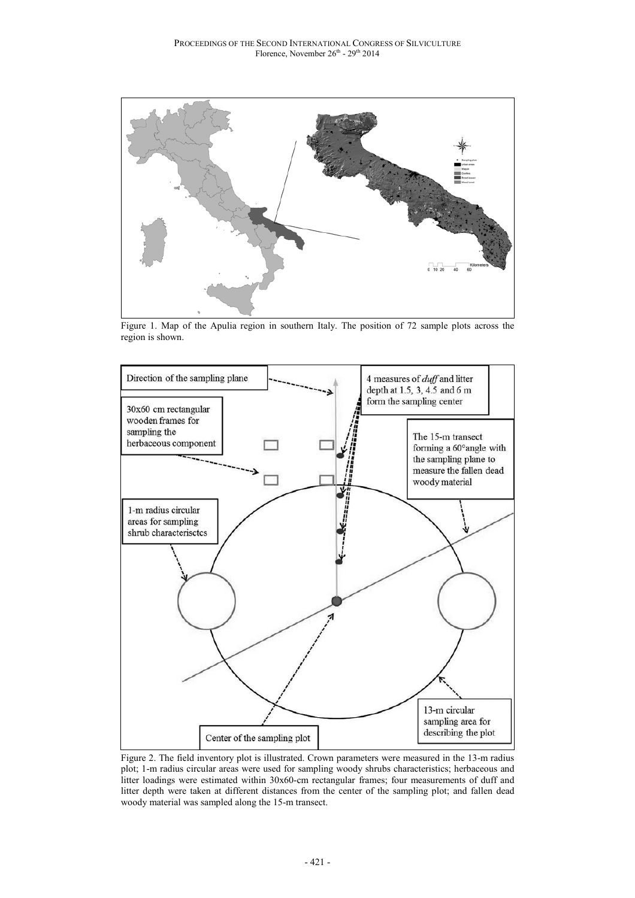

Figure 1. Map of the Apulia region in southern Italy. The position of 72 sample plots across the region is shown.



Figure 2. The field inventory plot is illustrated. Crown parameters were measured in the 13-m radius plot; 1-m radius circular areas were used for sampling woody shrubs characteristics; herbaceous and litter loadings were estimated within 30x60-cm rectangular frames; four measurements of duff and litter depth were taken at different distances from the center of the sampling plot; and fallen dead woody material was sampled along the 15-m transect.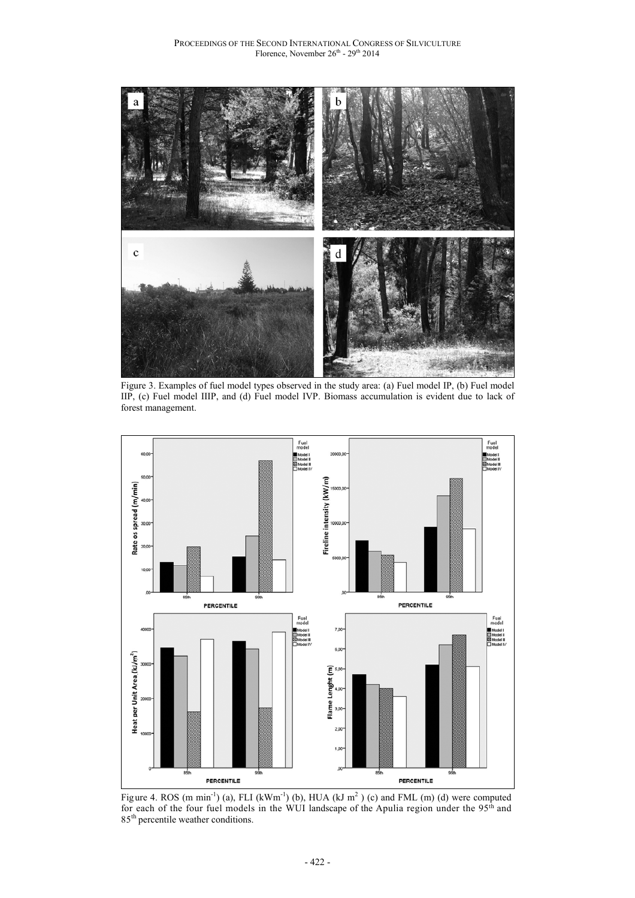

Figure 3. Examples of fuel model types observed in the study area: (a) Fuel model IP, (b) Fuel model IIP, (c) Fuel model IIIP, and (d) Fuel model IVP. Biomass accumulation is evident due to lack of forest management.



Figure 4. ROS (m min<sup>-1</sup>) (a), FLI (kWm<sup>-1</sup>) (b), HUA (kJ m<sup>2</sup>) (c) and FML (m) (d) were computed for each of the four fuel models in the WUI landscape of the Apulia region under the 95<sup>th</sup> and 85<sup>th</sup> percentile weather conditions.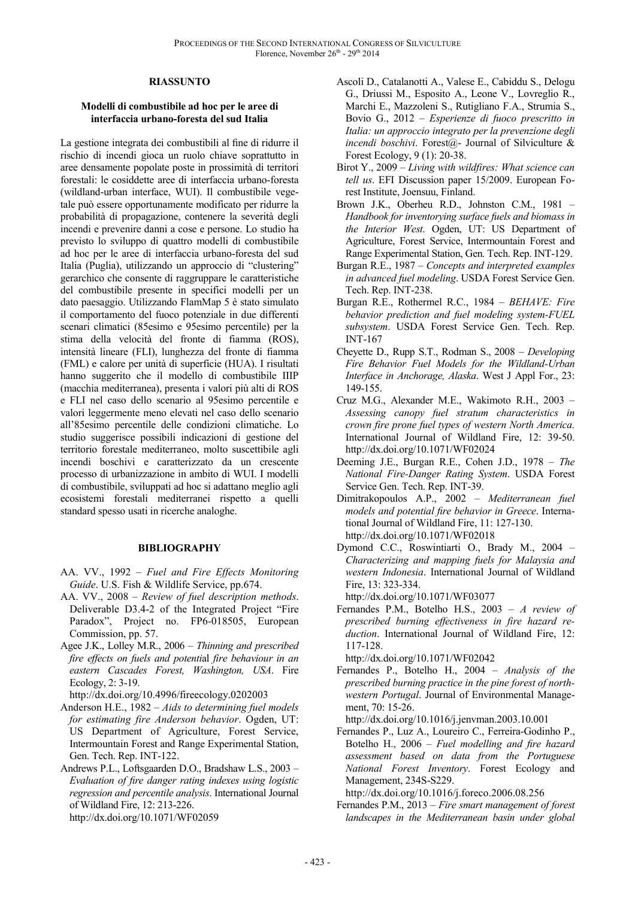#### **RIASSUNTO**

#### **Modelli di combustibile ad hoc per le aree di interfaccia urbano-foresta del sud Italia**

La gestione integrata dei combustibili al fine di ridurre il rischio di incendi gioca un ruolo chiave soprattutto in aree densamente popolate poste in prossimità di territori forestali: le cosiddette aree di interfaccia urbano-foresta (wildland-urban interface, WUI). Il combustibile vegetale può essere opportunamente modificato per ridurre la probabilità di propagazione, contenere la severità degli incendi e prevenire danni a cose e persone. Lo studio ha previsto lo sviluppo di quattro modelli di combustibile ad hoc per le aree di interfaccia urbano-foresta del sud Italia (Puglia), utilizzando un approccio di "clustering" gerarchico che consente di raggruppare le caratteristiche del combustibile presente in specifici modelli per un dato paesaggio. Utilizzando FlamMap 5 è stato simulato il comportamento del fuoco potenziale in due differenti scenari climatici (85esimo e 95esimo percentile) per la stima della velocità del fronte di fiamma (ROS), intensità lineare (FLI), lunghezza del fronte di fiamma (FML) e calore per unità di superficie (HUA). I risultati hanno suggerito che il modello di combustibile IIIP (macchia mediterranea), presenta i valori più alti di ROS e FLI nel caso dello scenario al 95esimo percentile e valori leggermente meno elevati nel caso dello scenario all'85esimo percentile delle condizioni climatiche. Lo studio suggerisce possibili indicazioni di gestione del territorio forestale mediterraneo, molto suscettibile agli incendi boschivi e caratterizzato da un crescente processo di urbanizzazione in ambito di WUI. I modelli di combustibile, sviluppati ad hoc si adattano meglio agli ecosistemi forestali mediterranei rispetto a quelli standard spesso usati in ricerche analoghe.

#### **BIBLIOGRAPHY**

- AA. VV., 1992 *Fuel and Fire Effects Monitoring Guide*. U.S. Fish & Wildlife Service, pp.674.
- AA. VV., 2008 *Review of fuel description methods*. Deliverable D3.4-2 of the Integrated Project "Fire Paradox", Project no. FP6-018505, European Commission, pp. 57.
- Agee J.K., Lolley M.R., 2006 *Thinning and prescribed fire effects on fuels and potenti*al *fire behaviour in an eastern Cascades Forest, Washington, USA*. Fire Ecology, 2: 3-19.
- http://dx.doi.org/10.4996/fireecology.0202003
- Anderson H.E., 1982 *Aids to determining fuel models for estimating fire Anderson behavior*. Ogden, UT: US Department of Agriculture, Forest Service, Intermountain Forest and Range Experimental Station, Gen. Tech. Rep. INT-122.
- Andrews P.L., Loftsgaarden D.O., Bradshaw L.S., 2003 *Evaluation of fire danger rating indexes using logistic regression and percentile analysis*. International Journal of Wildland Fire, 12: 213-226. http://dx.doi.org/10.1071/WF02059
- Ascoli D., Catalanotti A., Valese E., Cabiddu S., Delogu G., Driussi M., Esposito A., Leone V., Lovreglio R., Marchi E., Mazzoleni S., Rutigliano F.A., Strumia S., Bovio G., 2012 – *Esperienze di fuoco prescritto in Italia: un approccio integrato per la prevenzione degli incendi boschivi*. Forest@- Journal of Silviculture & Forest Ecology, 9 (1): 20-38.
- Birot Y., 2009 *Living with wildfires: What science can tell us*. EFI Discussion paper 15/2009. European Forest Institute, Joensuu, Finland.
- Brown J.K., Oberheu R.D., Johnston C.M., 1981 *Handbook for inventorying surface fuels and biomass in the Interior West*. Ogden, UT: US Department of Agriculture, Forest Service, Intermountain Forest and Range Experimental Station, Gen. Tech. Rep. INT-129.
- Burgan R.E., 1987 *Concepts and interpreted examples in advanced fuel modeling*. USDA Forest Service Gen. Tech. Rep. INT-238.
- Burgan R.E., Rothermel R.C., 1984 *BEHAVE: Fire behavior prediction and fuel modeling system-FUEL subsystem*. USDA Forest Service Gen. Tech. Rep. INT-167
- Cheyette D., Rupp S.T., Rodman S., 2008  *Developing Fire Behavior Fuel Models for the Wildland-Urban Interface in Anchorage, Alaska*. West J Appl For., 23: 149-155.
- Cruz M.G., Alexander M.E., Wakimoto R.H., 2003 *Assessing canopy fuel stratum characteristics in crown fire prone fuel types of western North America.* International Journal of Wildland Fire, 12: 39-50. http://dx.doi.org/10.1071/WF02024
- Deeming J.E., Burgan R.E., Cohen J.D., 1978 *The National Fire-Danger Rating System*. USDA Forest Service Gen. Tech. Rep. INT-39.
- Dimitrakopoulos A.P., 2002 *Mediterranean fuel models and potential fire behavior in Greece*. International Journal of Wildland Fire, 11: 127-130. http://dx.doi.org/10.1071/WF02018
- Dymond C.C., Roswintiarti O., Brady M., 2004 *Characterizing and mapping fuels for Malaysia and western Indonesia*. International Journal of Wildland Fire, 13: 323-334.

http://dx.doi.org/10.1071/WF03077

Fernandes P.M., Botelho H.S., 2003 – *A review of prescribed burning effectiveness in fire hazard reduction*. International Journal of Wildland Fire, 12: 117-128.

http://dx.doi.org/10.1071/WF02042

Fernandes P., Botelho H., 2004 – *Analysis of the prescribed burning practice in the pine forest of northwestern Portugal*. Journal of Environmental Management, 70: 15-26.

http://dx.doi.org/10.1016/j.jenvman.2003.10.001

Fernandes P., Luz A., Loureiro C., Ferreira-Godinho P., Botelho H., 2006 – *Fuel modelling and fire hazard assessment based on data from the Portuguese National Forest Inventory*. Forest Ecology and Management, 234S-S229.

http://dx.doi.org/10.1016/j.foreco.2006.08.256

Fernandes P.M., 2013 – *Fire smart management of forest landscapes in the Mediterranean basin under global*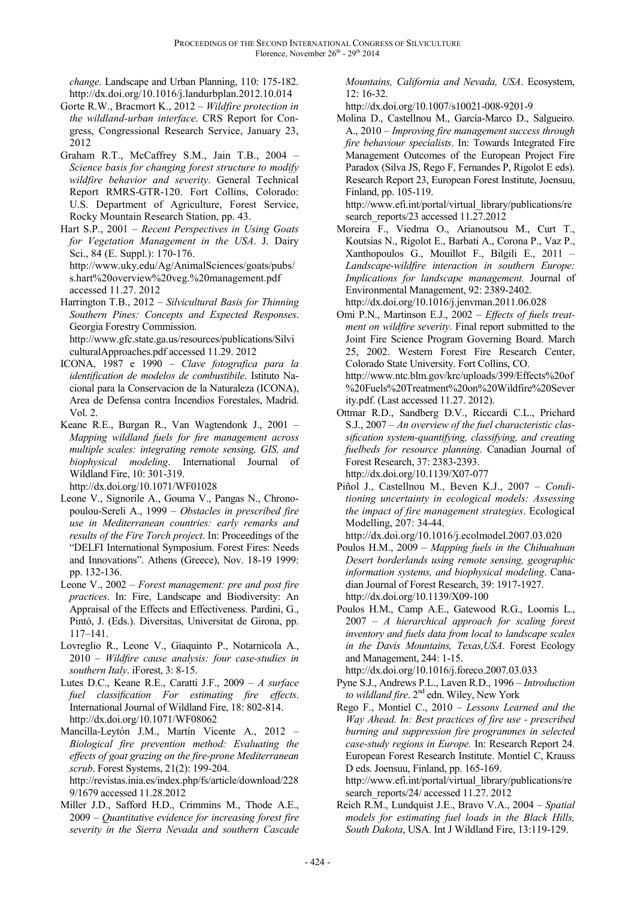*change*. Landscape and Urban Planning, 110: 175-182. http://dx.doi.org/10.1016/j.landurbplan.2012.10.014

- Gorte R.W., Bracmort K., 2012 *Wildfire protection in the wildland-urban interface*. CRS Report for Congress, Congressional Research Service, January 23, 2012
- Graham R.T., McCaffrey S.M., Jain T.B., 2004 *Science basis for changing forest structure to modify wildfire behavior and severity*. General Technical Report RMRS-GTR-120. Fort Collins, Colorado: U.S. Department of Agriculture, Forest Service, Rocky Mountain Research Station, pp. 43.
- Hart S.P., 2001 *Recent Perspectives in Using Goats for Vegetation Management in the USA*. J. Dairy Sci., 84 (E. Suppl.): 170-176. http://www.uky.edu/Ag/AnimalSciences/goats/pubs/ s.hart%20overview%20veg.%20management.pdf
	- accessed 11.27. 2012
- Harrington T.B., 2012 *Silvicultural Basis for Thinning Southern Pines: Concepts and Expected Responses*. Georgia Forestry Commission. http://www.gfc.state.ga.us/resources/publications/Silvi culturalApproaches.pdf accessed 11.29. 2012
- ICONA, 1987 e 1990 *Clave fotografica para la identification de modelos de combustibile*. Istituto Nacional para la Conservacion de la Naturaleza (ICONA), Area de Defensa contra Incendios Forestales, Madrid. Vol. 2.
- Keane R.E., Burgan R., Van Wagtendonk J., 2001 *Mapping wildland fuels for fire management across multiple scales: integrating remote sensing, GIS, and biophysical modeling*. International Journal of Wildland Fire, 10: 301-319.

http://dx.doi.org/10.1071/WF01028

- Leone V., Signorile A., Gouma V., Pangas N., Chronopoulou-Sereli A., 1999 – *Obstacles in prescribed fire use in Mediterranean countries: early remarks and results of the Fire Torch project*. In: Proceedings of the "DELFI International Symposium. Forest Fires: Needs and Innovations". Athens (Greece), Nov. 18-19 1999: pp. 132-136.
- Leone V., 2002 *Forest management: pre and post fire practices*. In: Fire, Landscape and Biodiversity: An Appraisal of the Effects and Effectiveness. Pardini, G., Pintó, J. (Eds.). Diversitas, Universitat de Girona, pp. 117–141.
- Lovreglio R., Leone V., Giaquinto P., Notarnicola A., 2010 – *Wildfire cause analysis: four case-studies in southern Italy*. iForest, 3: 8-15.
- Lutes D.C., Keane R.E., Caratti J.F., 2009 *A surface fuel classification For estimating fire effects*. International Journal of Wildland Fire, 18: 802-814. http://dx.doi.org/10.1071/WF08062
- Mancilla-Leytón J.M., Martín Vicente A., 2012 *Biological fire prevention method: Evaluating the effects of goat grazing on the fire-prone Mediterranean scrub*. Forest Systems, 21(2): 199-204. http://revistas.inia.es/index.php/fs/article/download/228 9/1679 accessed 11.28.2012
- Miller J.D., Safford H.D., Crimmins M., Thode A.E., 2009 – *Quantitative evidence for increasing forest fire severity in the Sierra Nevada and southern Cascade*

*Mountains, California and Nevada, USA*. Ecosystem, 12: 16-32.

http://dx.doi.org/10.1007/s10021-008-9201-9

Molina D., Castellnou M., García-Marco D., Salgueiro. A., 2010 – *Improving fire management success through fire behaviour specialists*. In: Towards Integrated Fire Management Outcomes of the European Project Fire Paradox (Silva JS, Rego F, Fernandes P, Rigolot E eds). Research Report 23, European Forest Institute, Joensuu, Finland, pp. 105-119.

http://www.efi.int/portal/virtual\_library/publications/re search\_reports/23 accessed 11.27.2012

Moreira F., Viedma O., Arianoutsou M., Curt T., Koutsias N., Rigolot E., Barbati A., Corona P., Vaz P., Xanthopoulos G., Mouillot F., Bilgili E., 2011 – *Landscape-wildfire interaction in southern Europe: Implications for landscape management.* Journal of Environmental Management, 92: 2389-2402.

http://dx.doi.org/10.1016/j.jenvman.2011.06.028 Omi P.N., Martinson E.J., 2002 – *Effects of fuels treatment on wildfire severity*. Final report submitted to the Joint Fire Science Program Governing Board. March 25, 2002. Western Forest Fire Research Center, Colorado State University. Fort Collins, CO. http://www.ntc.blm.gov/krc/uploads/399/Effects%20of %20Fuels%20Treatment%20on%20Wildfire%20Sever

- ity.pdf. (Last accessed 11.27. 2012). Ottmar R.D., Sandberg D.V., Riccardi C.L., Prichard S.J., 2007 – *An overview of the fuel characteristic classification system-quantifying, classifying, and creating fuelbeds for resource planning*. Canadian Journal of Forest Research, 37: 2383-2393. http://dx.doi.org/10.1139/X07-077
- Piñol J., Castellnou M., Beven K.J., 2007 *Conditioning uncertainty in ecological models: Assessing the impact of fire management strategies*. Ecological Modelling, 207: 34-44.

http://dx.doi.org/10.1016/j.ecolmodel.2007.03.020

- Poulos H.M., 2009 *Mapping fuels in the Chihuahuan Desert borderlands using remote sensing, geographic information systems, and biophysical modeling*. Canadian Journal of Forest Research, 39: 1917-1927. http://dx.doi.org/10.1139/X09-100
- Poulos H.M., Camp A.E., Gatewood R.G., Loomis L., 2007 – *A hierarchical approach for scaling forest inventory and fuels data from local to landscape scales in the Davis Mountains, Texas,USA*. Forest Ecology and Management, 244: 1-15.

http://dx.doi.org/10.1016/j.foreco.2007.03.033

- Pyne S.J., Andrews P.L., Laven R.D., 1996 *Introduction to wildland fire*. 2nd edn. Wiley, New York
- Rego F., Montiel C., 2010 *Lessons Learned and the Way Ahead. In: Best practices of fire use - prescribed burning and suppression fire programmes in selected case-study regions in Europe.* In: Research Report 24. European Forest Research Institute. Montiel C, Krauss D eds. Joensuu, Finland, pp. 165-169.

http://www.efi.int/portal/virtual\_library/publications/re search\_reports/24/ accessed 11.27. 2012

Reich R.M., Lundquist J.E., Bravo V.A., 2004 – *Spatial models for estimating fuel loads in the Black Hills, South Dakota*, USA. Int J Wildland Fire, 13:119-129.